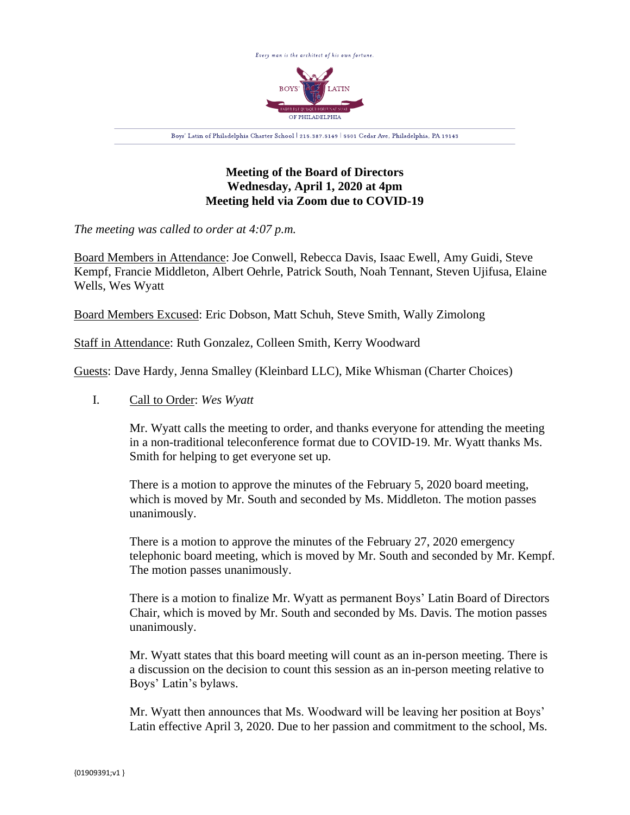

# **Meeting of the Board of Directors Wednesday, April 1, 2020 at 4pm Meeting held via Zoom due to COVID-19**

*The meeting was called to order at 4:07 p.m.*

Board Members in Attendance: Joe Conwell, Rebecca Davis, Isaac Ewell, Amy Guidi, Steve Kempf, Francie Middleton, Albert Oehrle, Patrick South, Noah Tennant, Steven Ujifusa, Elaine Wells, Wes Wyatt

Board Members Excused: Eric Dobson, Matt Schuh, Steve Smith, Wally Zimolong

Staff in Attendance: Ruth Gonzalez, Colleen Smith, Kerry Woodward

Guests: Dave Hardy, Jenna Smalley (Kleinbard LLC), Mike Whisman (Charter Choices)

I. Call to Order: *Wes Wyatt*

Mr. Wyatt calls the meeting to order, and thanks everyone for attending the meeting in a non-traditional teleconference format due to COVID-19. Mr. Wyatt thanks Ms. Smith for helping to get everyone set up.

There is a motion to approve the minutes of the February 5, 2020 board meeting, which is moved by Mr. South and seconded by Ms. Middleton. The motion passes unanimously.

There is a motion to approve the minutes of the February 27, 2020 emergency telephonic board meeting, which is moved by Mr. South and seconded by Mr. Kempf. The motion passes unanimously.

There is a motion to finalize Mr. Wyatt as permanent Boys' Latin Board of Directors Chair, which is moved by Mr. South and seconded by Ms. Davis. The motion passes unanimously.

Mr. Wyatt states that this board meeting will count as an in-person meeting. There is a discussion on the decision to count this session as an in-person meeting relative to Boys' Latin's bylaws.

Mr. Wyatt then announces that Ms. Woodward will be leaving her position at Boys' Latin effective April 3, 2020. Due to her passion and commitment to the school, Ms.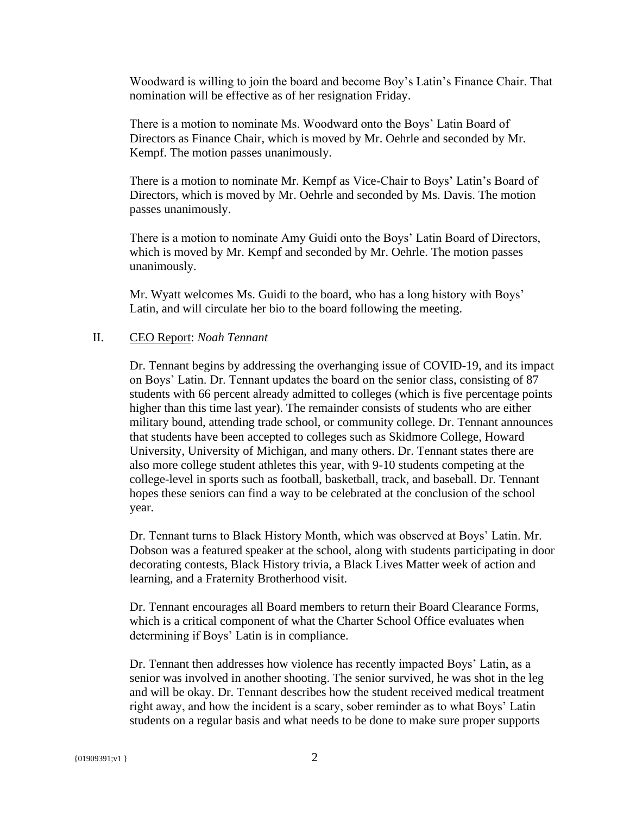Woodward is willing to join the board and become Boy's Latin's Finance Chair. That nomination will be effective as of her resignation Friday.

There is a motion to nominate Ms. Woodward onto the Boys' Latin Board of Directors as Finance Chair, which is moved by Mr. Oehrle and seconded by Mr. Kempf. The motion passes unanimously.

There is a motion to nominate Mr. Kempf as Vice-Chair to Boys' Latin's Board of Directors, which is moved by Mr. Oehrle and seconded by Ms. Davis. The motion passes unanimously.

There is a motion to nominate Amy Guidi onto the Boys' Latin Board of Directors, which is moved by Mr. Kempf and seconded by Mr. Oehrle. The motion passes unanimously.

Mr. Wyatt welcomes Ms. Guidi to the board, who has a long history with Boys' Latin, and will circulate her bio to the board following the meeting.

#### II. CEO Report: *Noah Tennant*

Dr. Tennant begins by addressing the overhanging issue of COVID-19, and its impact on Boys' Latin. Dr. Tennant updates the board on the senior class, consisting of 87 students with 66 percent already admitted to colleges (which is five percentage points higher than this time last year). The remainder consists of students who are either military bound, attending trade school, or community college. Dr. Tennant announces that students have been accepted to colleges such as Skidmore College, Howard University, University of Michigan, and many others. Dr. Tennant states there are also more college student athletes this year, with 9-10 students competing at the college-level in sports such as football, basketball, track, and baseball. Dr. Tennant hopes these seniors can find a way to be celebrated at the conclusion of the school year.

Dr. Tennant turns to Black History Month, which was observed at Boys' Latin. Mr. Dobson was a featured speaker at the school, along with students participating in door decorating contests, Black History trivia, a Black Lives Matter week of action and learning, and a Fraternity Brotherhood visit.

Dr. Tennant encourages all Board members to return their Board Clearance Forms, which is a critical component of what the Charter School Office evaluates when determining if Boys' Latin is in compliance.

Dr. Tennant then addresses how violence has recently impacted Boys' Latin, as a senior was involved in another shooting. The senior survived, he was shot in the leg and will be okay. Dr. Tennant describes how the student received medical treatment right away, and how the incident is a scary, sober reminder as to what Boys' Latin students on a regular basis and what needs to be done to make sure proper supports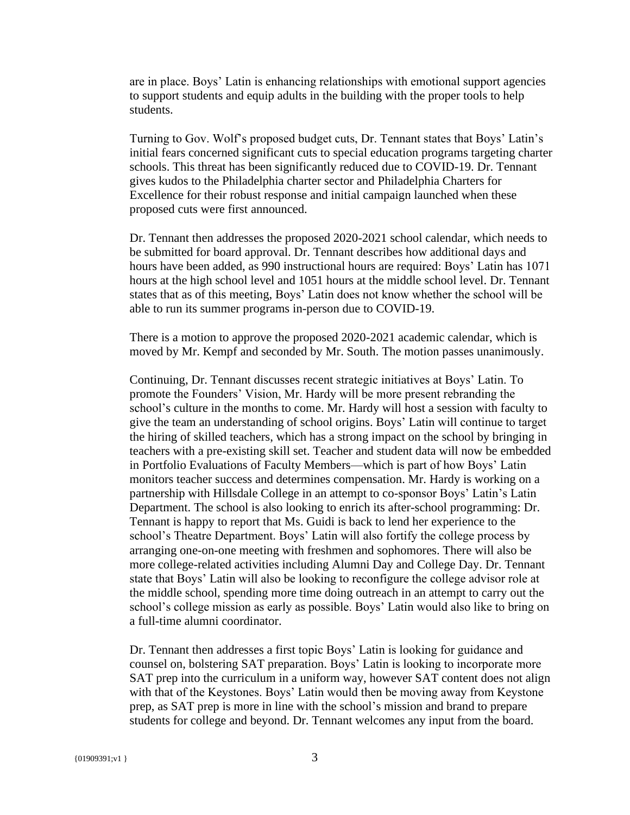are in place. Boys' Latin is enhancing relationships with emotional support agencies to support students and equip adults in the building with the proper tools to help students.

Turning to Gov. Wolf's proposed budget cuts, Dr. Tennant states that Boys' Latin's initial fears concerned significant cuts to special education programs targeting charter schools. This threat has been significantly reduced due to COVID-19. Dr. Tennant gives kudos to the Philadelphia charter sector and Philadelphia Charters for Excellence for their robust response and initial campaign launched when these proposed cuts were first announced.

Dr. Tennant then addresses the proposed 2020-2021 school calendar, which needs to be submitted for board approval. Dr. Tennant describes how additional days and hours have been added, as 990 instructional hours are required: Boys' Latin has 1071 hours at the high school level and 1051 hours at the middle school level. Dr. Tennant states that as of this meeting, Boys' Latin does not know whether the school will be able to run its summer programs in-person due to COVID-19.

There is a motion to approve the proposed 2020-2021 academic calendar, which is moved by Mr. Kempf and seconded by Mr. South. The motion passes unanimously.

Continuing, Dr. Tennant discusses recent strategic initiatives at Boys' Latin. To promote the Founders' Vision, Mr. Hardy will be more present rebranding the school's culture in the months to come. Mr. Hardy will host a session with faculty to give the team an understanding of school origins. Boys' Latin will continue to target the hiring of skilled teachers, which has a strong impact on the school by bringing in teachers with a pre-existing skill set. Teacher and student data will now be embedded in Portfolio Evaluations of Faculty Members—which is part of how Boys' Latin monitors teacher success and determines compensation. Mr. Hardy is working on a partnership with Hillsdale College in an attempt to co-sponsor Boys' Latin's Latin Department. The school is also looking to enrich its after-school programming: Dr. Tennant is happy to report that Ms. Guidi is back to lend her experience to the school's Theatre Department. Boys' Latin will also fortify the college process by arranging one-on-one meeting with freshmen and sophomores. There will also be more college-related activities including Alumni Day and College Day. Dr. Tennant state that Boys' Latin will also be looking to reconfigure the college advisor role at the middle school, spending more time doing outreach in an attempt to carry out the school's college mission as early as possible. Boys' Latin would also like to bring on a full-time alumni coordinator.

Dr. Tennant then addresses a first topic Boys' Latin is looking for guidance and counsel on, bolstering SAT preparation. Boys' Latin is looking to incorporate more SAT prep into the curriculum in a uniform way, however SAT content does not align with that of the Keystones. Boys' Latin would then be moving away from Keystone prep, as SAT prep is more in line with the school's mission and brand to prepare students for college and beyond. Dr. Tennant welcomes any input from the board.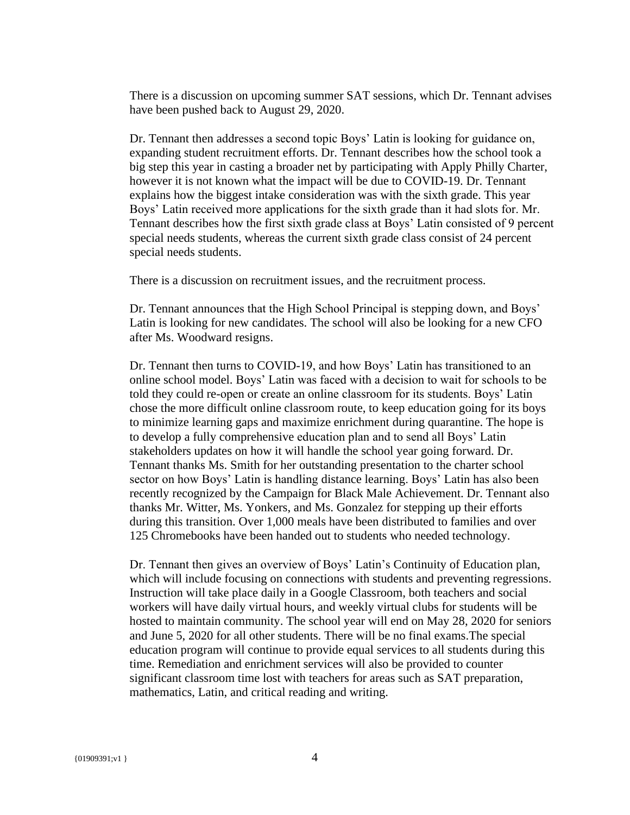There is a discussion on upcoming summer SAT sessions, which Dr. Tennant advises have been pushed back to August 29, 2020.

Dr. Tennant then addresses a second topic Boys' Latin is looking for guidance on, expanding student recruitment efforts. Dr. Tennant describes how the school took a big step this year in casting a broader net by participating with Apply Philly Charter, however it is not known what the impact will be due to COVID-19. Dr. Tennant explains how the biggest intake consideration was with the sixth grade. This year Boys' Latin received more applications for the sixth grade than it had slots for. Mr. Tennant describes how the first sixth grade class at Boys' Latin consisted of 9 percent special needs students, whereas the current sixth grade class consist of 24 percent special needs students.

There is a discussion on recruitment issues, and the recruitment process.

Dr. Tennant announces that the High School Principal is stepping down, and Boys' Latin is looking for new candidates. The school will also be looking for a new CFO after Ms. Woodward resigns.

Dr. Tennant then turns to COVID-19, and how Boys' Latin has transitioned to an online school model. Boys' Latin was faced with a decision to wait for schools to be told they could re-open or create an online classroom for its students. Boys' Latin chose the more difficult online classroom route, to keep education going for its boys to minimize learning gaps and maximize enrichment during quarantine. The hope is to develop a fully comprehensive education plan and to send all Boys' Latin stakeholders updates on how it will handle the school year going forward. Dr. Tennant thanks Ms. Smith for her outstanding presentation to the charter school sector on how Boys' Latin is handling distance learning. Boys' Latin has also been recently recognized by the Campaign for Black Male Achievement. Dr. Tennant also thanks Mr. Witter, Ms. Yonkers, and Ms. Gonzalez for stepping up their efforts during this transition. Over 1,000 meals have been distributed to families and over 125 Chromebooks have been handed out to students who needed technology.

Dr. Tennant then gives an overview of Boys' Latin's Continuity of Education plan, which will include focusing on connections with students and preventing regressions. Instruction will take place daily in a Google Classroom, both teachers and social workers will have daily virtual hours, and weekly virtual clubs for students will be hosted to maintain community. The school year will end on May 28, 2020 for seniors and June 5, 2020 for all other students. There will be no final exams.The special education program will continue to provide equal services to all students during this time. Remediation and enrichment services will also be provided to counter significant classroom time lost with teachers for areas such as SAT preparation, mathematics, Latin, and critical reading and writing.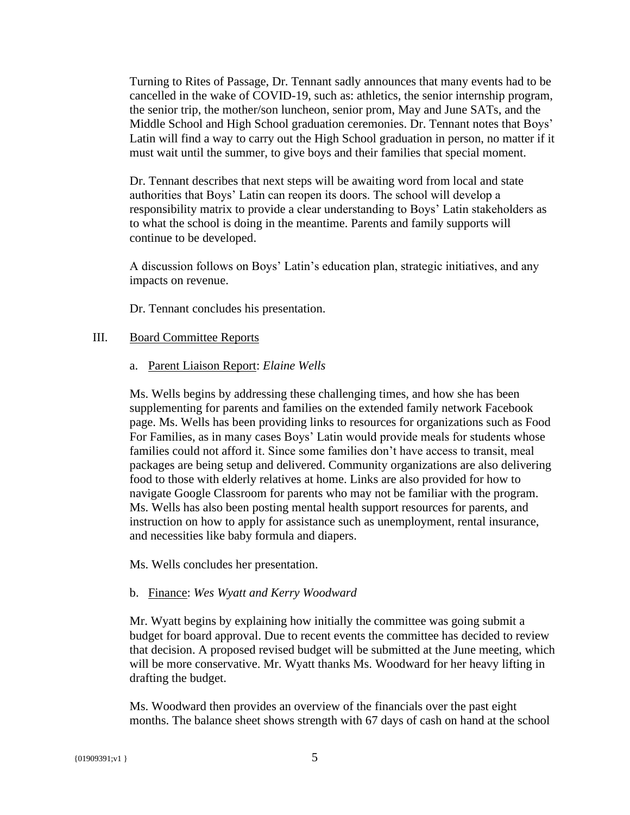Turning to Rites of Passage, Dr. Tennant sadly announces that many events had to be cancelled in the wake of COVID-19, such as: athletics, the senior internship program, the senior trip, the mother/son luncheon, senior prom, May and June SATs, and the Middle School and High School graduation ceremonies. Dr. Tennant notes that Boys' Latin will find a way to carry out the High School graduation in person, no matter if it must wait until the summer, to give boys and their families that special moment.

Dr. Tennant describes that next steps will be awaiting word from local and state authorities that Boys' Latin can reopen its doors. The school will develop a responsibility matrix to provide a clear understanding to Boys' Latin stakeholders as to what the school is doing in the meantime. Parents and family supports will continue to be developed.

A discussion follows on Boys' Latin's education plan, strategic initiatives, and any impacts on revenue.

Dr. Tennant concludes his presentation.

## III. Board Committee Reports

## a. Parent Liaison Report: *Elaine Wells*

Ms. Wells begins by addressing these challenging times, and how she has been supplementing for parents and families on the extended family network Facebook page. Ms. Wells has been providing links to resources for organizations such as Food For Families, as in many cases Boys' Latin would provide meals for students whose families could not afford it. Since some families don't have access to transit, meal packages are being setup and delivered. Community organizations are also delivering food to those with elderly relatives at home. Links are also provided for how to navigate Google Classroom for parents who may not be familiar with the program. Ms. Wells has also been posting mental health support resources for parents, and instruction on how to apply for assistance such as unemployment, rental insurance, and necessities like baby formula and diapers.

Ms. Wells concludes her presentation.

#### b. Finance: *Wes Wyatt and Kerry Woodward*

Mr. Wyatt begins by explaining how initially the committee was going submit a budget for board approval. Due to recent events the committee has decided to review that decision. A proposed revised budget will be submitted at the June meeting, which will be more conservative. Mr. Wyatt thanks Ms. Woodward for her heavy lifting in drafting the budget.

Ms. Woodward then provides an overview of the financials over the past eight months. The balance sheet shows strength with 67 days of cash on hand at the school